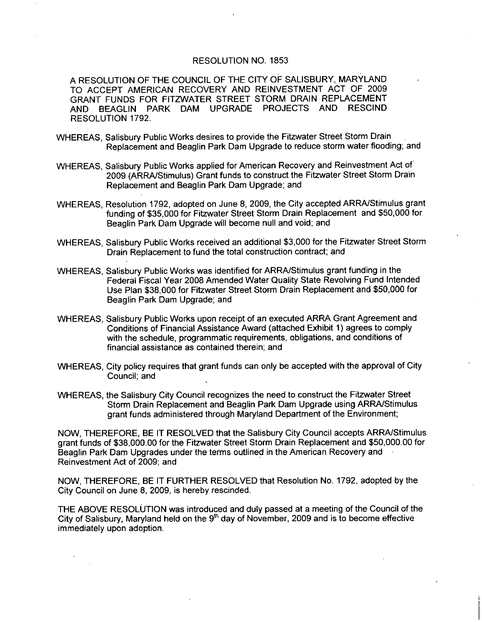## RESOLUTION NO 1853

A RESOLUTION OF THE COUNCIL OF THE CITY OF SALISBURY MARYLAND TO ACCEPT AMERICAN RECOVERY AND REINVESTMENT ACT OF 2009 GRANT FUNDS FOR FITZWATER STREET STORM DRAIN REPLACEMENT AND BEAGLIN PARK DAM UPGRADE PROJECTS AND RESCIND RESOLUTION 1792

- WHEREAS, Salisbury Public Works desires to provide the Fitzwater Street Storm Drain Replacement and Beaglin Park Dam Upgrade to reduce storm water flooding; and
- WHEREAS, Salisbury Public Works applied for American Recovery and Reinvestment Act of 2009 (ARRA/Stimulus) Grant funds to construct the Fitzwater Street Storm Drain Replacement and Beaglin Park Dam Upgrade; and
- WHEREAS, Resolution 1792, adopted on June 8, 2009, the City accepted ARRA/Stimulus grant<br>funding of \$35,000 for Fitzwater Street Storm Drain Replacement and \$50,000 for Beaglin Park Dam Upgrade will become null and void; and funding of \$35,000 for Fitzwater Street Storm Drain Replacement and \$50,000 for<br>Beaglin Park Dam Upgrade will become null and void; and<br>WHEREAS, Salisbury Public Works received an additional \$3,000 for the Fitzwater Street
- Drain Replacement to fund the total construction contract: and
- WHEREAS, Salisbury Public Works was identified for ARRA/Stimulus grant funding in the Federal Fiscal Year 2008 Amended Water Quality State Revolving Fund Intended Use Plan \$38,000 for Fitzwater Street Storm Drain Replacement and \$50,000 for Beaglin Park Dam Upgrade; and
- WHEREAS, Salisbury Public Works upon receipt of an executed ARRA Grant Agreement and Conditions of Financial Assistance Award (attached Exhibit 1) agrees to comply with the schedule, programmatic requirements, obligations, and conditions of financial assistance as contained therein; and
- WHEREAS. City policy requires that grant funds can only be accepted with the approval of City Council; and
- WHEREAS the Salisbury City Council recognizes the need to construct the Fitzwater Street Storm Drain Replacement and Beaglin Park Dam Upgrade usingARRA Stimulus grant funds administered through Maryland Department of the Environment;

NOW, THEREFORE, BE IT RESOLVED that the Salisbury City Council accepts ARRA/Stimulus<br>grant funds of \$38,000.00 for the Fitzwater Street Storm Drain Replacement and \$50,000.00 for<br>Beaglin Park Dam Upgrades under the terms o Beaglin Park Dam Upgrades under the terms outlined in the American Recovery and Reinvestment Act of 2009; and

NOW, THEREFORE, BE IT FURTHER RESOLVED that Resolution No. 1792, adopted by the City Council on June 8, 2009, is hereby rescinded.

THE ABOVE RESOLUTION was introduced and duly passed at <sup>a</sup> meeting of the Council of the City of Salisbury, Maryland held on the  $9<sup>th</sup>$  day of November, 2009 and is to become effective immediately upon adoption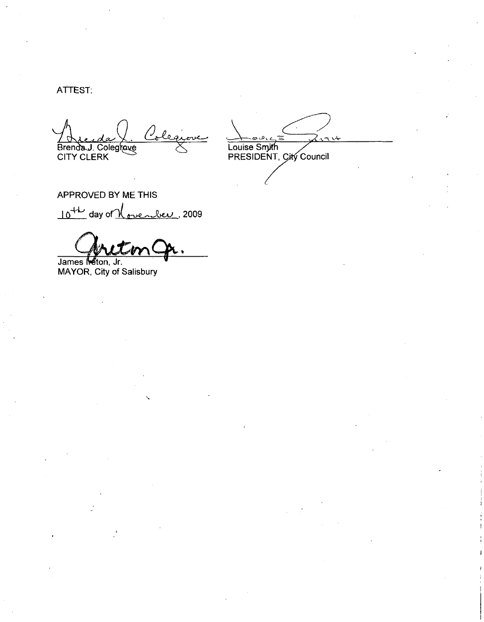ATTEST.

Brenda J. Colegrove

Louise Smith<br>PRESIDENT, City Council

APPROVED BY ME THIS 10<sup>th</sup> day of <u>November</u>, 2009

James Meton, Jr.<br>MAYOR, City of Salisbury